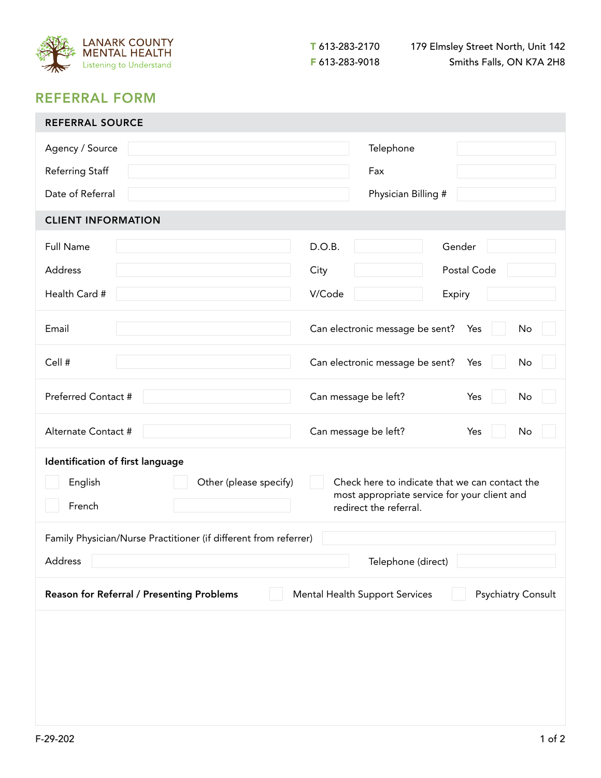

## REFERRAL FORM

| <b>REFERRAL SOURCE</b>                                                                            |                                                                                                |  |  |  |  |  |  |  |
|---------------------------------------------------------------------------------------------------|------------------------------------------------------------------------------------------------|--|--|--|--|--|--|--|
| Agency / Source                                                                                   | Telephone                                                                                      |  |  |  |  |  |  |  |
| Referring Staff                                                                                   | Fax                                                                                            |  |  |  |  |  |  |  |
| Date of Referral                                                                                  | Physician Billing #                                                                            |  |  |  |  |  |  |  |
| <b>CLIENT INFORMATION</b>                                                                         |                                                                                                |  |  |  |  |  |  |  |
| <b>Full Name</b>                                                                                  | D.O.B.<br>Gender                                                                               |  |  |  |  |  |  |  |
| Address                                                                                           | Postal Code<br>City                                                                            |  |  |  |  |  |  |  |
| Health Card #                                                                                     | V/Code<br>Expiry                                                                               |  |  |  |  |  |  |  |
|                                                                                                   |                                                                                                |  |  |  |  |  |  |  |
| Email                                                                                             | Can electronic message be sent?<br>No<br>Yes                                                   |  |  |  |  |  |  |  |
| Cell #                                                                                            | Can electronic message be sent?<br>Yes<br>No                                                   |  |  |  |  |  |  |  |
| Preferred Contact #                                                                               | Can message be left?<br>Yes<br>No                                                              |  |  |  |  |  |  |  |
| Alternate Contact #                                                                               | Can message be left?<br>Yes<br>No                                                              |  |  |  |  |  |  |  |
| Identification of first language                                                                  |                                                                                                |  |  |  |  |  |  |  |
| English<br>Other (please specify)                                                                 | Check here to indicate that we can contact the<br>most appropriate service for your client and |  |  |  |  |  |  |  |
| French                                                                                            | redirect the referral.                                                                         |  |  |  |  |  |  |  |
| Family Physician/Nurse Practitioner (if different from referrer)                                  |                                                                                                |  |  |  |  |  |  |  |
| Address<br>Telephone (direct)                                                                     |                                                                                                |  |  |  |  |  |  |  |
| Reason for Referral / Presenting Problems<br>Mental Health Support Services<br>Psychiatry Consult |                                                                                                |  |  |  |  |  |  |  |
|                                                                                                   |                                                                                                |  |  |  |  |  |  |  |
|                                                                                                   |                                                                                                |  |  |  |  |  |  |  |
|                                                                                                   |                                                                                                |  |  |  |  |  |  |  |
|                                                                                                   |                                                                                                |  |  |  |  |  |  |  |
|                                                                                                   |                                                                                                |  |  |  |  |  |  |  |